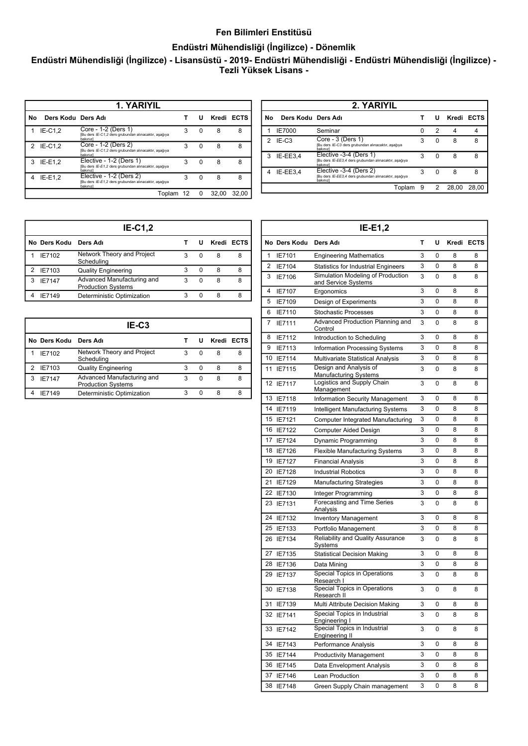## **Fen Bilimleri Enstitüsü**

## **Endüstri Mühendisliği (İngilizce) - Dönemlik**

**Endüstri Mühendisliği (İngilizce) - Lisansüstü - 2019- Endüstri Mühendisliği - Endüstri Mühendisliği (İngilizce) - Tezli Yüksek Lisans -** 

| 1. YARIYIL |                    |                                                                                             |   |   |       |            |
|------------|--------------------|---------------------------------------------------------------------------------------------|---|---|-------|------------|
| No         | Ders Kodu Ders Adı |                                                                                             |   | U |       | Kredi ECTS |
|            | $IE-C1.2$          | Core - 1-2 (Ders 1)<br>[Bu ders IE-C1,2 ders grubundan alınacaktır, aşağıya<br>bakınızl     | 3 | 0 | 8     | 8          |
| 2          | $IE-C1.2$          | Core - 1-2 (Ders 2)<br>Bu ders IE-C1,2 ders grubundan alınacaktır, aşağıya<br>bakınızl      | 3 | 0 | 8     | 8          |
| 3          | $IE-E1.2$          | Elective - 1-2 (Ders 1)<br>[Bu ders IE-E1,2 ders grubundan alınacaktır, aşağıya<br>bakınızl | 3 | O | 8     | я          |
|            | IE-E1.2            | Elective - 1-2 (Ders 2)<br>[Bu ders IE-E1,2 ders grubundan alınacaktır, aşağıya<br>bakınızl | 3 | O | 8     | 8          |
|            |                    | Toplam 12                                                                                   |   | 0 | 32.00 | 32.00      |

| 2. YARIYIL |                    |                                                                                             |   |                          |       |            |  |
|------------|--------------------|---------------------------------------------------------------------------------------------|---|--------------------------|-------|------------|--|
| Νo         | Ders Kodu Ders Adı |                                                                                             |   | u                        |       | Kredi ECTS |  |
|            | <b>IE7000</b>      | Seminar                                                                                     | n | 2                        |       |            |  |
| 2          | $IE-C3$            | Core - 3 (Ders 1)<br>[Bu ders IE-C3 ders grubundan alınacaktır, aşağıya<br>bakınız]         | 3 | $\Omega$                 | 8     | 8          |  |
| 3          | IE-EE3.4           | Elective -3-4 (Ders 1)<br>[Bu ders IE-EE3,4 ders grubundan alınacaktır, aşağıya<br>bakınızl | 3 | $\Omega$                 | 8     | 8          |  |
|            | IE-EE3.4           | Elective -3-4 (Ders 2)<br>[Bu ders IE-EE3,4 ders grubundan alınacaktır, aşağıya<br>bakınızl | 3 | <sup>0</sup>             | 8     | 8          |  |
|            |                    | Toplam 9                                                                                    |   | $\overline{\phantom{0}}$ | 28.00 | 28.00      |  |

| $IE-C1,2$ |               |                                                         |   |              |   |            |  |
|-----------|---------------|---------------------------------------------------------|---|--------------|---|------------|--|
|           | No Ders Kodu  | Ders Adı                                                |   |              |   | Kredi ECTS |  |
|           | IE7102        | Network Theory and Project<br>Scheduling                | 3 | 0            | 8 |            |  |
|           | IE7103        | <b>Quality Engineering</b>                              | 3 | $\Omega$     | 8 |            |  |
|           | <b>IE7147</b> | Advanced Manufacturing and<br><b>Production Systems</b> | 3 | <sup>0</sup> | 8 |            |  |
|           | IF7149        | Deterministic Optimization                              | 3 | O            | 8 | ጸ          |  |

| IE-C3 |              |                                                         |   |          |            |   |  |
|-------|--------------|---------------------------------------------------------|---|----------|------------|---|--|
|       | No Ders Kodu | Ders Adı                                                |   |          | Kredi ECTS |   |  |
|       | IE7102       | Network Theory and Project<br>Scheduling                | з | 0        | 8          | 8 |  |
| 2     | IE7103       | <b>Quality Engineering</b>                              | 3 | $\Omega$ | 8          | 8 |  |
| 3     | IF7147       | Advanced Manufacturing and<br><b>Production Systems</b> | 3 | ŋ        | 8          | 8 |  |
|       | IF7149       | Deterministic Optimization                              |   | n        | 8          | 8 |  |

| т<br>U<br>No Ders Kodu<br>Ders Adı<br>1<br>3<br>0<br>IE7101<br><b>Engineering Mathematics</b><br>3<br>2<br>0<br>IE7104<br><b>Statistics for Industrial Engineers</b><br>Simulation Modeling of Production<br>3<br>3<br>IE7106<br>0<br>and Service Systems<br>3<br>$\Omega$<br>4<br>IE7107<br>Ergonomics<br>3<br>5<br>0<br>IE7109<br>Design of Experiments<br>3<br>0<br>6<br>IE7110<br><b>Stochastic Processes</b> | Kredi ECTS<br>8<br>8<br>8<br>8 | 8<br>8<br>8 |
|-------------------------------------------------------------------------------------------------------------------------------------------------------------------------------------------------------------------------------------------------------------------------------------------------------------------------------------------------------------------------------------------------------------------|--------------------------------|-------------|
|                                                                                                                                                                                                                                                                                                                                                                                                                   |                                |             |
|                                                                                                                                                                                                                                                                                                                                                                                                                   |                                |             |
|                                                                                                                                                                                                                                                                                                                                                                                                                   |                                |             |
|                                                                                                                                                                                                                                                                                                                                                                                                                   |                                |             |
|                                                                                                                                                                                                                                                                                                                                                                                                                   |                                | 8           |
|                                                                                                                                                                                                                                                                                                                                                                                                                   | 8                              | 8           |
|                                                                                                                                                                                                                                                                                                                                                                                                                   | 8                              | 8           |
| Advanced Production Planning and<br>3<br>7<br>IE7111<br>0<br>Control                                                                                                                                                                                                                                                                                                                                              | 8                              | 8           |
| 3<br>8<br>0<br>IE7112<br>Introduction to Scheduling                                                                                                                                                                                                                                                                                                                                                               | 8                              | 8           |
| 3<br>9<br>IE7113<br>0<br>Information Processing Systems                                                                                                                                                                                                                                                                                                                                                           | 8                              | 8           |
| 3<br>0<br>10 IE7114<br>Multivariate Statistical Analysis                                                                                                                                                                                                                                                                                                                                                          | 8                              | 8           |
| Design and Analysis of<br>IE7115<br>3<br>0<br>11<br><b>Manufacturing Systems</b>                                                                                                                                                                                                                                                                                                                                  | 8                              | 8           |
| Logistics and Supply Chain<br>12 IE7117<br>3<br>0<br>Management                                                                                                                                                                                                                                                                                                                                                   | 8                              | 8           |
| 13<br><b>IE7118</b><br>Information Security Management<br>3<br>0                                                                                                                                                                                                                                                                                                                                                  | 8                              | 8           |
| 14<br>3<br>0<br>IE7119<br>Intelligent Manufacturing Systems                                                                                                                                                                                                                                                                                                                                                       | 8                              | 8           |
| 15 IE7121<br>3<br>0<br>Computer Integrated Manufacturing                                                                                                                                                                                                                                                                                                                                                          | 8                              | 8           |
| 3<br>0<br>16 IE7122<br>Computer Aided Design                                                                                                                                                                                                                                                                                                                                                                      | 8                              | 8           |
| 17<br>IE7124<br>3<br>0<br>Dynamic Programming                                                                                                                                                                                                                                                                                                                                                                     | 8                              | 8           |
| 3<br>18 IE7126<br>0<br>Flexible Manufacturing Systems                                                                                                                                                                                                                                                                                                                                                             | 8                              | 8           |
| 3<br>19 IE7127<br>0<br><b>Financial Analysis</b>                                                                                                                                                                                                                                                                                                                                                                  | 8                              | 8           |
| 3<br>20 IE7128<br>0<br><b>Industrial Robotics</b>                                                                                                                                                                                                                                                                                                                                                                 | 8                              | 8           |
| 3<br>21<br>0<br>IE7129<br><b>Manufacturing Strategies</b>                                                                                                                                                                                                                                                                                                                                                         | 8                              | 8           |
| 3<br>22 IE7130<br>0<br>Integer Programming                                                                                                                                                                                                                                                                                                                                                                        | 8                              | 8           |
| Forecasting and Time Series<br>3<br>0<br>23 IE7131<br>Analysis                                                                                                                                                                                                                                                                                                                                                    | 8                              | 8           |
| 3<br>24<br>IE7132<br>0<br><b>Inventory Management</b>                                                                                                                                                                                                                                                                                                                                                             | 8                              | 8           |
| 3<br>25<br>IE7133<br>0<br>Portfolio Management                                                                                                                                                                                                                                                                                                                                                                    | 8                              | 8           |
| <b>Reliability and Quality Assurance</b><br>3<br>0<br>26 IE7134<br>Systems                                                                                                                                                                                                                                                                                                                                        | 8                              | 8           |
| 3<br>0<br>27<br>IE7135<br><b>Statistical Decision Making</b>                                                                                                                                                                                                                                                                                                                                                      | 8                              | 8           |
| 3<br>28 IE7136<br>0<br>Data Mining                                                                                                                                                                                                                                                                                                                                                                                | 8                              | 8           |
| Special Topics in Operations<br>29 IE7137<br>3<br>0<br>Research I                                                                                                                                                                                                                                                                                                                                                 | 8                              | 8           |
| Special Topics in Operations<br>30 IE7138<br>3<br>0<br>Research II                                                                                                                                                                                                                                                                                                                                                | 8                              | 8           |
| 31<br>3<br>0<br>IE7139<br>Multi Attribute Decision Making                                                                                                                                                                                                                                                                                                                                                         | 8                              | 8           |
| Special Topics in Industrial<br>3<br>32 IE7141<br>0<br>Engineering I                                                                                                                                                                                                                                                                                                                                              | 8                              | 8           |
| Special Topics in Industrial<br>3<br>0<br>33 IE7142<br><b>Engineering II</b>                                                                                                                                                                                                                                                                                                                                      | 8                              | 8           |
| 3<br>0<br>34<br>IE7143<br>Performance Analysis                                                                                                                                                                                                                                                                                                                                                                    | 8                              | 8           |
| 3<br>35 IE7144<br>0<br><b>Productivity Management</b>                                                                                                                                                                                                                                                                                                                                                             | 8                              | 8           |
| 3<br>0<br>36 IE7145<br>Data Envelopment Analysis                                                                                                                                                                                                                                                                                                                                                                  | 8                              | 8           |
| 3<br>0<br>37<br>IE7146<br>Lean Production                                                                                                                                                                                                                                                                                                                                                                         | 8                              | 8           |
| 3<br>38 IE7148<br>0<br>Green Supply Chain management                                                                                                                                                                                                                                                                                                                                                              | 8                              | 8           |